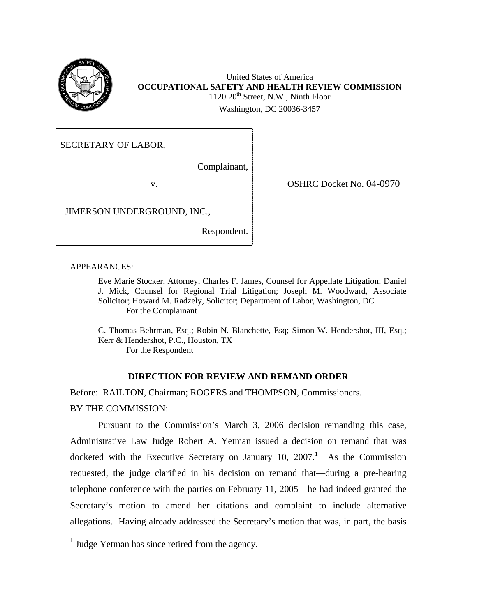

United States of America **OCCUPATIONAL SAFETY AND HEALTH REVIEW COMMISSION**   $1120 20<sup>th</sup>$  Street, N.W., Ninth Floor Washington, DC 20036-3457

SECRETARY OF LABOR,

Complainant,

v.

OSHRC Docket No. 04-0970

JIMERSON UNDERGROUND, INC.,

Respondent.

APPEARANCES:

Eve Marie Stocker, Attorney, Charles F. James, Counsel for Appellate Litigation; Daniel J. Mick, Counsel for Regional Trial Litigation; Joseph M. Woodward, Associate Solicitor; Howard M. Radzely, Solicitor; Department of Labor, Washington, DC For the Complainant

C. Thomas Behrman, Esq.; Robin N. Blanchette, Esq; Simon W. Hendershot, III, Esq.; Kerr & Hendershot, P.C., Houston, TX For the Respondent

# **DIRECTION FOR REVIEW AND REMAND ORDER**

Before: RAILTON, Chairman; ROGERS and THOMPSON, Commissioners. BY THE COMMISSION:

Pursuant to the Commission's March 3, 2006 decision remanding this case, Administrative Law Judge Robert A. Yetman issued a decision on remand that was docketed with the Executive Secretary on January [1](#page-0-0)0, 2007. As the Commission requested, the judge clarified in his decision on remand that—during a pre-hearing telephone conference with the parties on February 11, 2005—he had indeed granted the Secretary's motion to amend her citations and complaint to include alternative allegations. Having already addressed the Secretary's motion that was, in part, the basis

<span id="page-0-0"></span> $<sup>1</sup>$  Judge Yetman has since retired from the agency.</sup>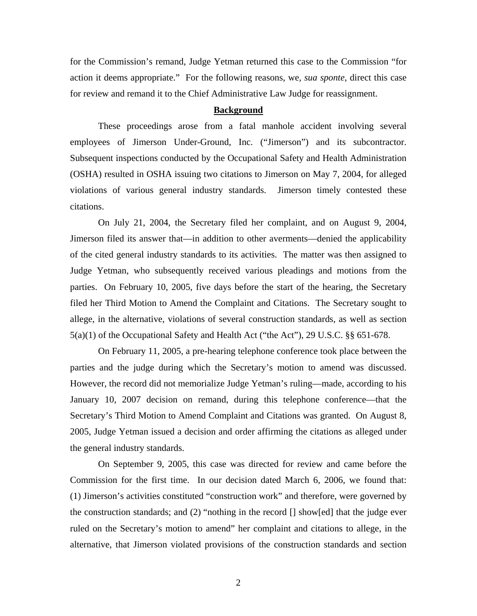for the Commission's remand, Judge Yetman returned this case to the Commission "for action it deems appropriate." For the following reasons, we, *sua sponte*, direct this case for review and remand it to the Chief Administrative Law Judge for reassignment.

#### **Background**

 These proceedings arose from a fatal manhole accident involving several employees of Jimerson Under-Ground, Inc. ("Jimerson") and its subcontractor. Subsequent inspections conducted by the Occupational Safety and Health Administration (OSHA) resulted in OSHA issuing two citations to Jimerson on May 7, 2004, for alleged violations of various general industry standards. Jimerson timely contested these citations.

On July 21, 2004, the Secretary filed her complaint, and on August 9, 2004, Jimerson filed its answer that—in addition to other averments—denied the applicability of the cited general industry standards to its activities. The matter was then assigned to Judge Yetman, who subsequently received various pleadings and motions from the parties. On February 10, 2005, five days before the start of the hearing, the Secretary filed her Third Motion to Amend the Complaint and Citations. The Secretary sought to allege, in the alternative, violations of several construction standards, as well as section 5(a)(1) of the Occupational Safety and Health Act ("the Act"), 29 U.S.C. §§ 651-678.

On February 11, 2005, a pre-hearing telephone conference took place between the parties and the judge during which the Secretary's motion to amend was discussed. However, the record did not memorialize Judge Yetman's ruling—made, according to his January 10, 2007 decision on remand, during this telephone conference—that the Secretary's Third Motion to Amend Complaint and Citations was granted. On August 8, 2005, Judge Yetman issued a decision and order affirming the citations as alleged under the general industry standards.

On September 9, 2005, this case was directed for review and came before the Commission for the first time. In our decision dated March 6, 2006, we found that: (1) Jimerson's activities constituted "construction work" and therefore, were governed by the construction standards; and (2) "nothing in the record  $\lceil \cdot \rceil$  show [ed] that the judge ever ruled on the Secretary's motion to amend" her complaint and citations to allege, in the alternative, that Jimerson violated provisions of the construction standards and section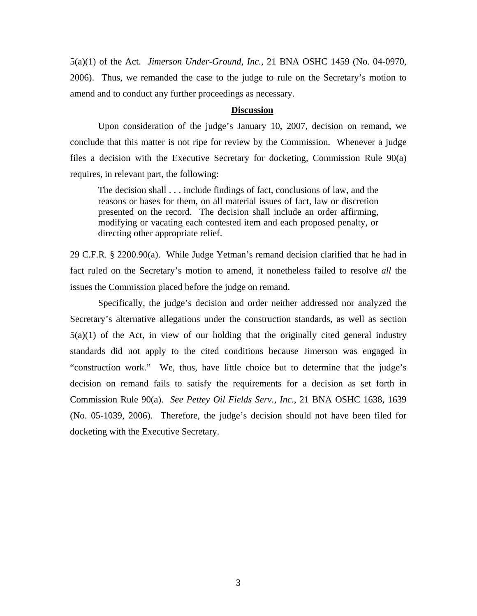5(a)(1) of the Act. *Jimerson Under-Ground, Inc.,* 21 BNA OSHC 1459 (No. 04-0970, 2006). Thus, we remanded the case to the judge to rule on the Secretary's motion to amend and to conduct any further proceedings as necessary.

#### **Discussion**

Upon consideration of the judge's January 10, 2007, decision on remand, we conclude that this matter is not ripe for review by the Commission. Whenever a judge files a decision with the Executive Secretary for docketing, Commission Rule 90(a) requires, in relevant part, the following:

The decision shall . . . include findings of fact, conclusions of law, and the reasons or bases for them, on all material issues of fact, law or discretion presented on the record. The decision shall include an order affirming, modifying or vacating each contested item and each proposed penalty, or directing other appropriate relief.

29 C.F.R. § 2200.90(a). While Judge Yetman's remand decision clarified that he had in fact ruled on the Secretary's motion to amend, it nonetheless failed to resolve *all* the issues the Commission placed before the judge on remand.

 Specifically, the judge's decision and order neither addressed nor analyzed the Secretary's alternative allegations under the construction standards, as well as section  $5(a)(1)$  of the Act, in view of our holding that the originally cited general industry standards did not apply to the cited conditions because Jimerson was engaged in "construction work." We, thus, have little choice but to determine that the judge's decision on remand fails to satisfy the requirements for a decision as set forth in Commission Rule 90(a). *See Pettey Oil Fields Serv., Inc.*, 21 BNA OSHC 1638, 1639 (No. 05-1039, 2006). Therefore, the judge's decision should not have been filed for docketing with the Executive Secretary.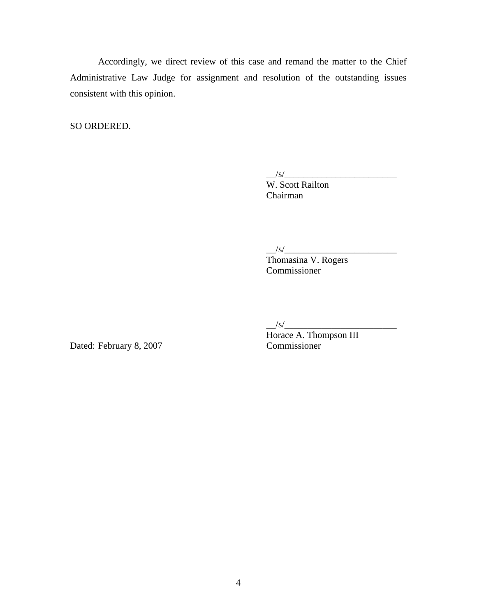Accordingly, we direct review of this case and remand the matter to the Chief Administrative Law Judge for assignment and resolution of the outstanding issues consistent with this opinion.

SO ORDERED.

 $\frac{|S|}{|S|}$ 

W. Scott Railton Chairman

 $\frac{|S|}{|S|}$ 

 Thomasina V. Rogers Commissioner

 $\frac{1}{s}$ /s/ $\frac{1}{s}$ 

Horace A. Thompson III Dated: February 8, 2007 Commissioner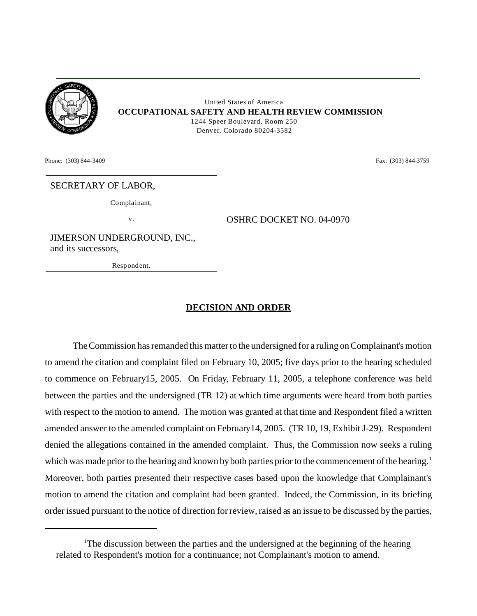

 United States of America **OCCUPATIONAL SAFETY AND HEALTH REVIEW COMMISSION** 1244 Speer Boulevard, Room 250 Denver, Colorado 80204-3582

Phone: (303) 844-3409 **Fax:** (303) 844-3759

### SECRETARY OF LABOR,

Complainant,

v. COSHRC DOCKET NO. 04-0970

JIMERSON UNDERGROUND, INC., and its successors,

Respondent.

## **DECISION AND ORDER**

The Commission has remanded this matter to the undersigned for a ruling on Complainant's motion to amend the citation and complaint filed on February 10, 2005; five days prior to the hearing scheduled to commence on February15, 2005. On Friday, February 11, 2005, a telephone conference was held between the parties and the undersigned (TR 12) at which time arguments were heard from both parties with respect to the motion to amend. The motion was granted at that time and Respondent filed a written amended answer to the amended complaint on February14, 2005. (TR 10, 19, Exhibit J-29). Respondent denied the allegations contained in the amended complaint. Thus, the Commission now seeks a ruling which was made prior to the hearing and known by both parties prior to the commencement of the hearing.<sup>1</sup> Moreover, both parties presented their respective cases based upon the knowledge that Complainant's motion to amend the citation and complaint had been granted. Indeed, the Commission, in its briefing order issued pursuant to the notice of direction for review, raised as an issue to be discussed by the parties,

<sup>&</sup>lt;sup>1</sup>The discussion between the parties and the undersigned at the beginning of the hearing related to Respondent's motion for a continuance; not Complainant's motion to amend.